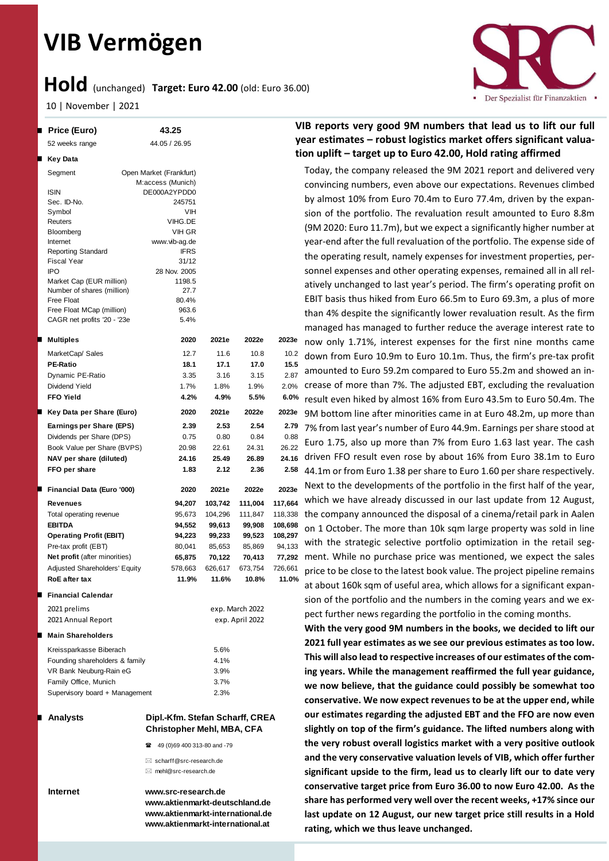# **VIB Vermögen**

## **Hold** (unchanged) **Target: Euro 42.00** (old: Euro 36.00)

10 | November | 2021

| E | <b>Price (Euro)</b>                      | 43.25                                                                |         |                 | v       |  |  |
|---|------------------------------------------|----------------------------------------------------------------------|---------|-----------------|---------|--|--|
|   | 52 weeks range                           | 44.05 / 26.95                                                        |         |                 |         |  |  |
| ш | Key Data                                 |                                                                      |         |                 | ti      |  |  |
|   | Segment                                  | Open Market (Frankfurt)                                              |         |                 |         |  |  |
|   |                                          | M:access (Munich)                                                    |         |                 |         |  |  |
|   | <b>ISIN</b>                              | DE000A2YPDD0                                                         |         |                 |         |  |  |
|   | Sec. ID-No.                              | 245751                                                               |         |                 |         |  |  |
|   | Symbol                                   | VIH                                                                  |         |                 |         |  |  |
|   | Reuters                                  | VIHG.DE                                                              |         |                 |         |  |  |
|   | <b>Bloomberg</b>                         | VIH GR                                                               |         |                 |         |  |  |
|   | Internet                                 | www.vib-ag.de                                                        |         |                 |         |  |  |
|   | <b>Reporting Standard</b>                | <b>IFRS</b>                                                          |         |                 |         |  |  |
|   | <b>Fiscal Year</b>                       | 31/12                                                                |         |                 |         |  |  |
|   | <b>IPO</b>                               | 28 Nov. 2005                                                         |         |                 |         |  |  |
|   | Market Cap (EUR million)                 | 1198.5<br>27.7                                                       |         |                 |         |  |  |
|   | Number of shares (million)<br>Free Float | 80.4%                                                                |         |                 |         |  |  |
|   | Free Float MCap (million)                | 963.6                                                                |         |                 |         |  |  |
|   | CAGR net profits '20 - '23e              | 5.4%                                                                 |         |                 |         |  |  |
|   |                                          |                                                                      |         |                 |         |  |  |
| п | <b>Multiples</b>                         | 2020                                                                 | 2021e   | 2022e           | 2023e   |  |  |
|   | MarketCap/ Sales                         | 12.7                                                                 | 11.6    | 10.8            | 10.2    |  |  |
|   | <b>PE-Ratio</b>                          | 18.1                                                                 | 17.1    | 17.0            | 15.5    |  |  |
|   | Dynamic PE-Ratio                         | 3.35                                                                 | 3.16    | 3.15            | 2.87    |  |  |
|   | Dividend Yield                           | 1.7%                                                                 | 1.8%    | 1.9%            | 2.0%    |  |  |
|   | <b>FFO Yield</b>                         | 4.2%                                                                 | 4.9%    | 5.5%            | 6.0%    |  |  |
| ш | Key Data per Share (Euro)                | 2020                                                                 | 2021e   | 2022e           | 2023e   |  |  |
|   | Earnings per Share (EPS)                 | 2.39                                                                 | 2.53    | 2.54            | 2.79    |  |  |
|   | Dividends per Share (DPS)                | 0.75                                                                 | 0.80    | 0.84            | 0.88    |  |  |
|   | Book Value per Share (BVPS)              | 20.98                                                                | 22.61   | 24.31           | 26.22   |  |  |
|   | NAV per share (diluted)                  | 24.16                                                                | 25.49   | 26.89           | 24.16   |  |  |
|   | FFO per share                            | 1.83                                                                 | 2.12    | 2.36            | 2.58    |  |  |
| ш | Financial Data (Euro '000)               | 2020                                                                 | 2021e   | 2022e           | 2023e   |  |  |
|   | Revenues                                 | 94,207                                                               | 103,742 | 111,004         | 117,664 |  |  |
|   | Total operating revenue                  | 95,673                                                               | 104,296 | 111,847         | 118,338 |  |  |
|   | <b>EBITDA</b>                            | 94,552                                                               | 99,613  | 99,908          | 108,698 |  |  |
|   | <b>Operating Profit (EBIT)</b>           | 94,223                                                               | 99,233  | 99,523          | 108,297 |  |  |
|   | Pre-tax profit (EBT)                     | 80,041                                                               | 85,653  | 85,869          | 94,133  |  |  |
|   | Net profit (after minorities)            | 65,875                                                               | 70,122  | 70,413          | 77,292  |  |  |
|   | Adjusted Shareholders' Equity            | 578,663                                                              | 626,617 | 673,754         | 726,661 |  |  |
|   | <b>RoE</b> after tax                     | 11.9%                                                                | 11.6%   | 10.8%           | 11.0%   |  |  |
| H | <b>Financial Calendar</b>                |                                                                      |         |                 |         |  |  |
|   |                                          |                                                                      |         |                 |         |  |  |
|   | 2021 prelims                             |                                                                      |         | exp. March 2022 |         |  |  |
|   | 2021 Annual Report                       |                                                                      |         | exp. April 2022 |         |  |  |
| п | <b>Main Shareholders</b>                 |                                                                      |         |                 |         |  |  |
|   | Kreissparkasse Biberach                  |                                                                      | 5.6%    |                 |         |  |  |
|   | Founding shareholders & family           |                                                                      | 4.1%    |                 |         |  |  |
|   | VR Bank Neuburg-Rain eG                  |                                                                      | 3.9%    |                 |         |  |  |
|   | Family Office, Munich                    |                                                                      | 3.7%    |                 |         |  |  |
|   | Supervisory board + Management           |                                                                      | 2.3%    |                 |         |  |  |
|   | <b>Analysts</b>                          | Dipl.-Kfm. Stefan Scharff, CREA<br><b>Christopher Mehl, MBA, CFA</b> |         |                 |         |  |  |
|   |                                          |                                                                      |         |                 |         |  |  |
|   |                                          | 49 (0)69 400 313-80 and -79<br>奮                                     |         |                 |         |  |  |
|   | $\boxtimes$ scharff@src-research.de      |                                                                      |         |                 |         |  |  |
|   |                                          | $\boxtimes$ mehl@src-research.de                                     |         |                 |         |  |  |
|   |                                          |                                                                      |         |                 |         |  |  |

**Internet www.src-research.de www.aktienmarkt-deutschland.de www.aktienmarkt-international.de www.aktienmarkt-international.at**

### **VIB reports very good 9M numbers that lead us to lift our full year estimates – robust logistics market offers significant valuation uplift – target up to Euro 42.00, Hold rating affirmed**

Today, the company released the 9M 2021 report and delivered very convincing numbers, even above our expectations. Revenues climbed by almost 10% from Euro 70.4m to Euro 77.4m, driven by the expansion of the portfolio. The revaluation result amounted to Euro 8.8m (9M 2020: Euro 11.7m), but we expect a significantly higher number at year-end after the full revaluation of the portfolio. The expense side of the operating result, namely expenses for investment properties, personnel expenses and other operating expenses, remained all in all relatively unchanged to last year's period. The firm's operating profit on EBIT basis thus hiked from Euro 66.5m to Euro 69.3m, a plus of more than 4% despite the significantly lower revaluation result. As the firm managed has managed to further reduce the average interest rate to now only 1.71%, interest expenses for the first nine months came down from Euro 10.9m to Euro 10.1m. Thus, the firm's pre-tax profit amounted to Euro 59.2m compared to Euro 55.2m and showed an increase of more than 7%. The adjusted EBT, excluding the revaluation result even hiked by almost 16% from Euro 43.5m to Euro 50.4m. The 9M bottom line after minorities came in at Euro 48.2m, up more than 7% from last year's number of Euro 44.9m. Earnings per share stood at Euro 1.75, also up more than 7% from Euro 1.63 last year. The cash 24.16 driven FFO result even rose by about 16% from Euro 38.1m to Euro 44.1m or from Euro 1.38 per share to Euro 1.60 per share respectively. Next to the developments of the portfolio in the first half of the year, which we have already discussed in our last update from 12 August, the company announced the disposal of a cinema/retail park in Aalen on 1 October. The more than 10k sqm large property was sold in line with the strategic selective portfolio optimization in the retail segment. While no purchase price was mentioned, we expect the sales price to be close to the latest book value. The project pipeline remains at about 160k sqm of useful area, which allows for a significant expansion of the portfolio and the numbers in the coming years and we expect further news regarding the portfolio in the coming months.

**With the very good 9M numbers in the books, we decided to lift our 2021 full year estimates as we see our previous estimates as too low. This will also lead to respective increases of our estimates of the coming years. While the management reaffirmed the full year guidance, we now believe, that the guidance could possibly be somewhat too conservative. We now expect revenues to be at the upper end, while our estimates regarding the adjusted EBT and the FFO are now even slightly on top of the firm's guidance. The lifted numbers along with the very robust overall logistics market with a very positive outlook and the very conservative valuation levels of VIB, which offer further significant upside to the firm, lead us to clearly lift our to date very conservative target price from Euro 36.00 to now Euro 42.00. As the share has performed very well over the recent weeks, +17% since our last update on 12 August, our new target price still results in a Hold rating, which we thus leave unchanged.** 

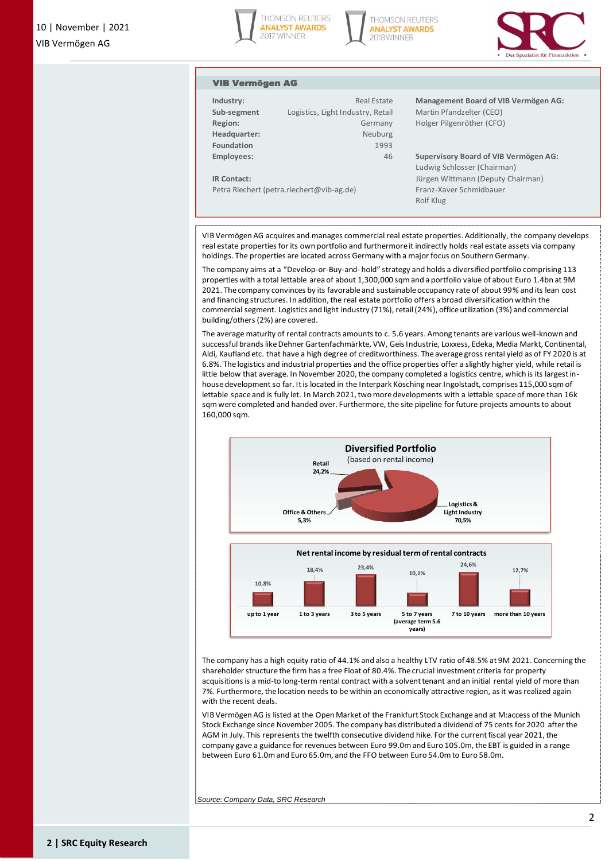





#### VIB Vermögen AG

| Industry:<br>Sub-segment                  | Real Estate<br>Logistics, Light Industry, Retail |  |  |  |  |
|-------------------------------------------|--------------------------------------------------|--|--|--|--|
| Region:                                   | Germany                                          |  |  |  |  |
| Headquarter:                              | Neuburg                                          |  |  |  |  |
| Foundation                                | 1993                                             |  |  |  |  |
| Employees:                                | 46                                               |  |  |  |  |
|                                           |                                                  |  |  |  |  |
| <b>IR Contact:</b>                        |                                                  |  |  |  |  |
| Petra Riechert (petra.riechert@vib-ag.de) |                                                  |  |  |  |  |

**Management Board of VIB Vermögen AG: Martin Pfandzelter (CEO) Holger Pilgenröther (CFO)** 

**Employees:** 46 **Supervisory Board of VIB Vermögen AG:** Ludwig Schlosser (Chairman) Jürgen Wittmann (Deputy Chairman) Franz-Xaver Schmidbauer Rolf Klug

VIB Vermögen AG acquires and manages commercial real estate properties. Additionally, the company develops real estate properties for its own portfolio and furthermore it indirectly holds real estate assets via company holdings. The properties are located across Germany with a major focus on Southern Germany.

The company aims at a "Develop-or-Buy-and- hold" strategy and holds a diversified portfolio comprising 113 properties with a total lettable area of about 1,300,000 sqm and a portfolio value of about Euro 1.4bn at 9M 2021. The company convinces by its favorable and sustainable occupancy rate of about 99% and its lean cost and financing structures. In addition, the real estate portfolio offers a broad diversification within the commercial segment. Logistics and light industry (71%), retail (24%), office utilization (3%) and commercial building/others (2%) are covered.

The average maturity of rental contracts amounts to c. 5.6 years. Among tenants are various well-known and successful brands like Dehner Gartenfachmärkte, VW, Geis Industrie, Loxxess, Edeka, Media Markt, Continental, Aldi, Kaufland etc. that have a high degree of creditworthiness. The average gross rental yield as of FY 2020 is at 6.8%. The logistics and industrial properties and the office properties offer a slightly higher yield, while retail is little below that average. In November 2020, the company completed a logistics centre, which is its largest inhouse development so far. It is located in the Interpark Kösching near Ingolstadt, comprises 115,000 sqm of lettable space and is fully let. In March 2021, two more developments with a lettable space of more than 16k sqm were completed and handed over. Furthermore, the site pipeline for future projects amounts to about 160,000 sqm.



The company has a high equity ratio of 44.1% and also a healthy LTV ratio of 48.5% at 9M 2021. Concerning the shareholder structure the firm has a free Float of 80.4%. The crucial investment criteria for property acquisitions is a mid-to long-term rental contract with a solvent tenant and an initial rental yield of more than 7%. Furthermore, the location needs to be within an economically attractive region, as it was realized again with the recent deals.

VIB Vermögen AG is listed at the Open Market of the Frankfurt Stock Exchange and at M:access of the Munich Stock Exchange since November 2005. The company has distributed a dividend of 75 cents for 2020 after the AGM in July. This represents the twelfth consecutive dividend hike. For the current fiscal year 2021, the company gave a guidance for revenues between Euro 99.0m and Euro 105.0m, the EBT is guided in a range between Euro 61.0m and Euro 65.0m, and the FFO between Euro 54.0m to Euro 58.0m.

*Source: Company Data, SRC Research*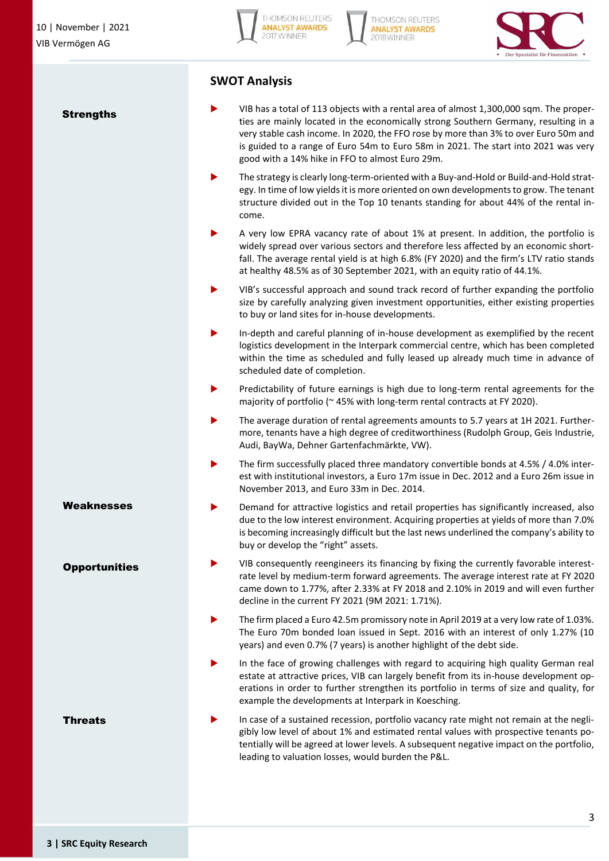**Strengths** 







## **SWOT Analysis**

- VIB has a total of 113 objects with a rental area of almost 1,300,000 sqm. The properties are mainly located in the economically strong Southern Germany, resulting in a very stable cash income. In 2020, the FFO rose by more than 3% to over Euro 50m and is guided to a range of Euro 54m to Euro 58m in 2021. The start into 2021 was very good with a 14% hike in FFO to almost Euro 29m.
- The strategy is clearly long-term-oriented with a Buy-and-Hold or Build-and-Hold strategy. In time of low yields it is more oriented on own developments to grow. The tenant structure divided out in the Top 10 tenants standing for about 44% of the rental income.
- A very low EPRA vacancy rate of about 1% at present. In addition, the portfolio is widely spread over various sectors and therefore less affected by an economic shortfall. The average rental yield is at high 6.8% (FY 2020) and the firm's LTV ratio stands at healthy 48.5% as of 30 September 2021, with an equity ratio of 44.1%.
- VIB's successful approach and sound track record of further expanding the portfolio size by carefully analyzing given investment opportunities, either existing properties to buy or land sites for in-house developments.
- In-depth and careful planning of in-house development as exemplified by the recent logistics development in the Interpark commercial centre, which has been completed within the time as scheduled and fully leased up already much time in advance of scheduled date of completion.
- Predictability of future earnings is high due to long-term rental agreements for the majority of portfolio (~45% with long-term rental contracts at FY 2020).
- The average duration of rental agreements amounts to 5.7 years at 1H 2021. Furthermore, tenants have a high degree of creditworthiness (Rudolph Group, Geis Industrie, Audi, BayWa, Dehner Gartenfachmärkte, VW).
- The firm successfully placed three mandatory convertible bonds at 4.5% / 4.0% interest with institutional investors, a Euro 17m issue in Dec. 2012 and a Euro 26m issue in November 2013, and Euro 33m in Dec. 2014.
- Demand for attractive logistics and retail properties has significantly increased, also due to the low interest environment. Acquiring properties at yields of more than 7.0% is becoming increasingly difficult but the last news underlined the company's ability to buy or develop the "right" assets.
- VIB consequently reengineers its financing by fixing the currently favorable interestrate level by medium-term forward agreements. The average interest rate at FY 2020 came down to 1.77%, after 2.33% at FY 2018 and 2.10% in 2019 and will even further decline in the current FY 2021 (9M 2021: 1.71%).
- The firm placed a Euro 42.5m promissory note in April 2019 at a very low rate of 1.03%. The Euro 70m bonded loan issued in Sept. 2016 with an interest of only 1.27% (10 years) and even 0.7% (7 years) is another highlight of the debt side.
- In the face of growing challenges with regard to acquiring high quality German real estate at attractive prices, VIB can largely benefit from its in-house development operations in order to further strengthen its portfolio in terms of size and quality, for example the developments at Interpark in Koesching.
- In case of a sustained recession, portfolio vacancy rate might not remain at the negligibly low level of about 1% and estimated rental values with prospective tenants potentially will be agreed at lower levels. A subsequent negative impact on the portfolio, leading to valuation losses, would burden the P&L.

**Weaknesses** 

**Opportunities** 

Threats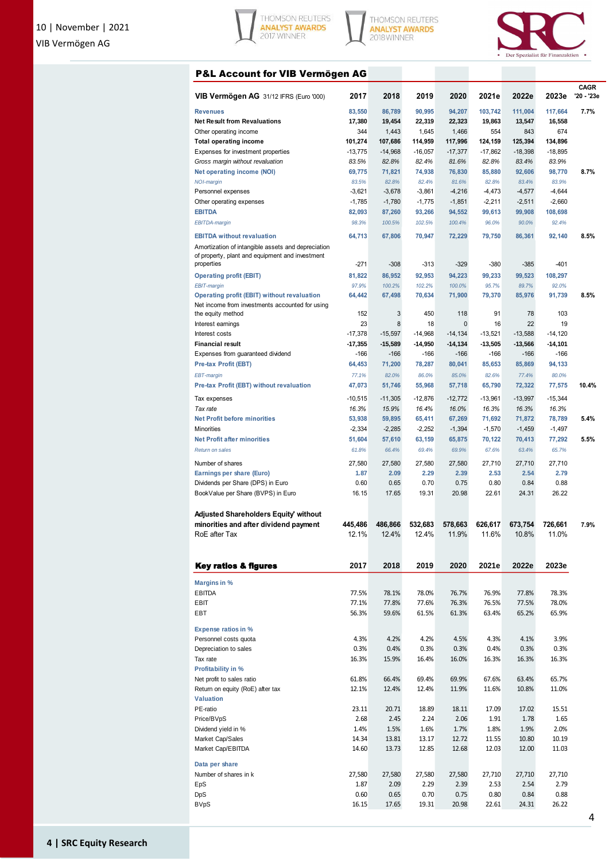





## P&L Account for VIB Vermögen AG

|                                                    |                  |                  |                  |                  |                  |                  |                  | CAGR       |
|----------------------------------------------------|------------------|------------------|------------------|------------------|------------------|------------------|------------------|------------|
| VIB Vermögen AG 31/12 IFRS (Euro '000)             | 2017             | 2018             | 2019             | 2020             | 2021e            | 2022e            | 2023e            | '20 - '23e |
|                                                    |                  |                  |                  |                  |                  |                  |                  |            |
| <b>Revenues</b>                                    | 83,550           | 86,789           | 90,995           | 94,207           | 103,742          | 111,004          | 117,664          | 7.7%       |
| <b>Net Result from Revaluations</b>                | 17,380           | 19,454           | 22,319           | 22,323           | 19,863           | 13,547           | 16,558           |            |
| Other operating income                             | 344              | 1,443            | 1,645            | 1,466            | 554              | 843              | 674              |            |
| <b>Total operating income</b>                      | 101,274          | 107,686          | 114,959          | 117,996          | 124,159          | 125,394          | 134,896          |            |
| Expenses for investment properties                 | $-13,775$        | $-14,968$        | $-16,057$        | $-17,377$        | $-17,862$        | $-18,398$        | $-18,895$        |            |
| Gross margin without revaluation                   | 83.5%            | 82.8%            | 82.4%            | 81.6%            | 82.8%            | 83.4%            | 83.9%            |            |
| <b>Net operating income (NOI)</b>                  | 69,775           | 71,821           | 74,938           | 76,830           | 85,880           | 92,606           | 98,770           | 8.7%       |
| <b>NOI-margin</b>                                  | 83.5%            | 82.8%            | 82.4%            | 81.6%            | 82.8%            | 83.4%            | 83.9%            |            |
| Personnel expenses                                 | $-3,621$         | $-3,678$         | $-3,861$         | $-4,216$         | $-4,473$         | $-4,577$         | $-4,644$         |            |
| Other operating expenses                           | $-1,785$         | $-1,780$         | $-1,775$         | $-1,851$         | $-2,211$         | $-2,511$         | $-2,660$         |            |
| <b>EBITDA</b>                                      | 82,093           | 87,260           | 93,266           | 94,552           | 99,613           | 99,908           | 108,698          |            |
| <b>EBITDA-margin</b>                               | 98.3%            | 100.5%           | 102.5%           | 100.4%           | 96.0%            | 90.0%            | 92.4%            |            |
| <b>EBITDA</b> without revaluation                  | 64,713           | 67,806           | 70,947           | 72,229           | 79,750           | 86,361           | 92,140           | 8.5%       |
| Amortization of intangible assets and depreciation |                  |                  |                  |                  |                  |                  |                  |            |
| of property, plant and equipment and investment    |                  |                  |                  |                  |                  |                  |                  |            |
| properties                                         | $-271$           | $-308$           | $-313$           | $-329$           | $-380$           | $-385$           | $-401$           |            |
| <b>Operating profit (EBIT)</b>                     | 81,822           | 86,952           | 92,953           | 94,223           | 99,233           | 99,523           | 108,297          |            |
| <b>EBIT-margin</b>                                 | 97.9%            | 100.2%           | 102.2%           | 100.0%           | 95.7%            | 89.7%            | 92.0%            |            |
| Operating profit (EBIT) without revaluation        | 64,442           | 67,498           | 70,634           | 71,900           | 79,370           | 85,976           | 91,739           | 8.5%       |
| Net income from investments accounted for using    |                  |                  |                  |                  |                  |                  |                  |            |
| the equity method                                  | 152              | 3                | 450              | 118              | 91               | 78               | 103              |            |
| Interest earnings                                  | 23               | 8                | 18               | 0                | 16               | 22               | 19               |            |
| Interest costs                                     | $-17,378$        | $-15,597$        | $-14,968$        | $-14, 134$       | $-13,521$        | $-13,588$        | $-14,120$        |            |
| <b>Financial result</b>                            | $-17,355$        | $-15,589$        | $-14,950$        | $-14, 134$       | $-13,505$        | $-13,566$        | $-14,101$        |            |
| Expenses from guaranteed dividend                  | $-166$           | $-166$           | $-166$           | $-166$           | $-166$           | $-166$           | -166             |            |
| Pre-tax Profit (EBT)                               | 64,453           | 71,200           | 78,287           | 80,041           | 85,653           | 85,869           | 94,133           |            |
| EBT-margin                                         | 77.1%            | 82.0%            | 86.0%            | 85.0%            | 82.6%            | 77.4%            | 80.0%            |            |
| Pre-tax Profit (EBT) without revaluation           | 47,073           | 51,746           | 55,968           | 57,718           | 65,790           | 72,322           | 77,575           | 10.4%      |
|                                                    |                  |                  |                  |                  |                  |                  |                  |            |
| Tax expenses                                       | $-10,515$        | $-11,305$        | $-12,876$        | $-12,772$        | $-13,961$        | $-13,997$        | $-15,344$        |            |
| Tax rate                                           | 16.3%            | 15.9%            | 16.4%            | 16.0%            | 16.3%            | 16.3%            | 16.3%            |            |
| <b>Net Profit before minorities</b>                | 53,938           | 59,895           | 65,411           | 67,269           | 71,692           | 71,872           | 78,789           | 5.4%       |
| Minorities                                         | $-2,334$         | $-2,285$         | $-2,252$         | $-1,394$         | $-1,570$         | $-1,459$         | $-1,497$         |            |
| <b>Net Profit after minorities</b>                 | 51,604           | 57,610           | 63,159           | 65,875           | 70,122           | 70,413           | 77,292           | 5.5%       |
| <b>Return on sales</b>                             | 61.8%            | 66.4%            | 69.4%            | 69.9%            | 67.6%            | 63.4%            | 65.7%            |            |
| Number of shares                                   | 27,580           | 27,580           | 27,580           | 27,580           | 27,710           | 27,710           | 27,710           |            |
| Earnings per share (Euro)                          | 1.87             | 2.09             | 2.29             | 2.39             | 2.53             | 2.54             | 2.79             |            |
| Dividends per Share (DPS) in Euro                  | 0.60             | 0.65             | 0.70             | 0.75             | 0.80             | 0.84             | 0.88             |            |
| BookValue per Share (BVPS) in Euro                 | 16.15            | 17.65            | 19.31            | 20.98            | 22.61            | 24.31            | 26.22            |            |
|                                                    |                  |                  |                  |                  |                  |                  |                  |            |
|                                                    |                  |                  |                  |                  |                  |                  |                  |            |
| Adjusted Shareholders Equity' without              |                  |                  |                  |                  |                  |                  |                  |            |
| minorities and after dividend payment              | 445,486<br>12.1% | 486,866<br>12.4% | 532,683<br>12.4% | 578,663<br>11.9% | 626,617<br>11.6% | 673,754<br>10.8% | 726,661<br>11.0% | 7.9%       |
| RoE after Tax                                      |                  |                  |                  |                  |                  |                  |                  |            |
|                                                    |                  |                  |                  |                  |                  |                  |                  |            |
| <b>Key ratios &amp; figures</b>                    | 2017             | 2018             | 2019             | 2020             | 2021e            | 2022e            | 2023e            |            |
|                                                    |                  |                  |                  |                  |                  |                  |                  |            |
| Margins in %                                       |                  |                  |                  |                  |                  |                  |                  |            |
| <b>EBITDA</b>                                      | 77.5%            | 78.1%            | 78.0%            | 76.7%            | 76.9%            | 77.8%            | 78.3%            |            |
| EBIT                                               | 77.1%            | 77.8%            | 77.6%            | 76.3%            | 76.5%            | 77.5%            | 78.0%            |            |
| EBT                                                | 56.3%            | 59.6%            | 61.5%            | 61.3%            | 63.4%            | 65.2%            | 65.9%            |            |
|                                                    |                  |                  |                  |                  |                  |                  |                  |            |
| <b>Expense ratios in %</b>                         |                  |                  |                  |                  |                  |                  |                  |            |
| Personnel costs quota                              | 4.3%             | 4.2%             | 4.2%             | 4.5%             | 4.3%             | 4.1%             | 3.9%             |            |
| Depreciation to sales                              | 0.3%             | 0.4%             | 0.3%             | 0.3%             | 0.4%             | 0.3%             | 0.3%             |            |
| Tax rate                                           | 16.3%            | 15.9%            | 16.4%            | 16.0%            | 16.3%            | 16.3%            | 16.3%            |            |
| <b>Profitability in %</b>                          |                  |                  |                  |                  |                  |                  |                  |            |
| Net profit to sales ratio                          | 61.8%            | 66.4%            | 69.4%            | 69.9%            | 67.6%            | 63.4%            | 65.7%            |            |
| Return on equity (RoE) after tax                   | 12.1%            | 12.4%            | 12.4%            | 11.9%            | 11.6%            | 10.8%            | 11.0%            |            |
| <b>Valuation</b>                                   |                  |                  |                  |                  |                  |                  |                  |            |
| PE-ratio                                           | 23.11            | 20.71            | 18.89            | 18.11            | 17.09            | 17.02            | 15.51            |            |
| Price/BVpS                                         | 2.68             | 2.45             | 2.24             | 2.06             | 1.91             | 1.78             | 1.65             |            |
| Dividend yield in %                                | 1.4%             | 1.5%             | 1.6%             | 1.7%             | 1.8%             | 1.9%             | 2.0%             |            |
| Market Cap/Sales                                   | 14.34            | 13.81            | 13.17            | 12.72            | 11.55            | 10.80            | 10.19            |            |
| Market Cap/EBITDA                                  | 14.60            | 13.73            | 12.85            | 12.68            | 12.03            | 12.00            | 11.03            |            |
|                                                    |                  |                  |                  |                  |                  |                  |                  |            |
| Data per share                                     |                  |                  |                  |                  |                  |                  |                  |            |
| Number of shares in k                              | 27,580           | 27,580           | 27,580           | 27,580           | 27,710           | 27,710           | 27,710           |            |
| EpS                                                | 1.87             | 2.09             | 2.29             | 2.39             | 2.53             | 2.54             | 2.79             |            |
| <b>DpS</b>                                         | 0.60             | 0.65             | 0.70             | 0.75             | 0.80             | 0.84             | 0.88             |            |
| <b>BVpS</b>                                        | 16.15            | 17.65            | 19.31            | 20.98            | 22.61            | 24.31            | 26.22            |            |